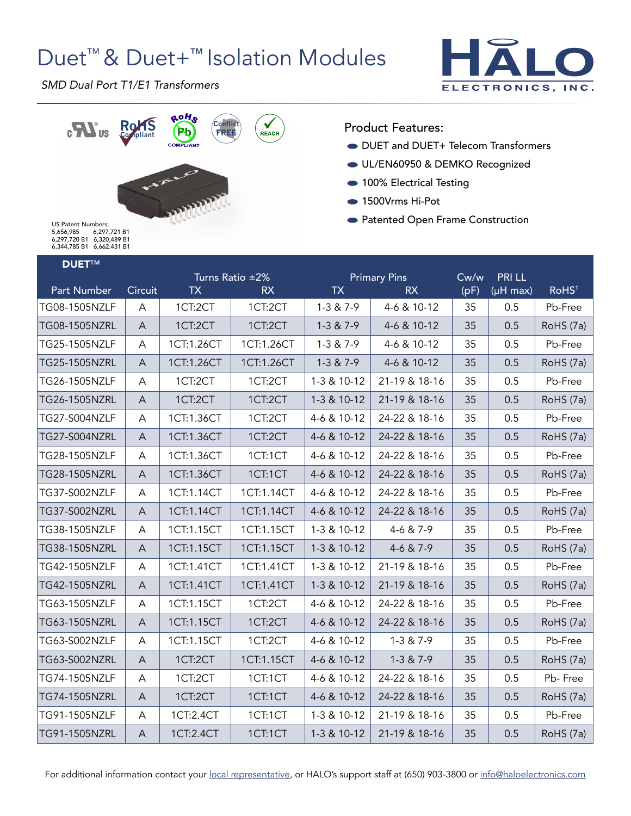# Duet<sup>™</sup> & Duet+<sup>™</sup> Isolation Modules



*SMD Dual Port T1/E1 Transformers*



Product Features:

- **DUET and DUET+ Telecom Transformers**
- UL/EN60950 & DEMKO Recognized
- 100% Electrical Testing
- 1500Vrms Hi-Pot
- Patented Open Frame Construction

US Patent Numbers: 5,656,985 6,297,721 B1 6,297,720 B1 6,320,489 B1 6,344,785 B1 6,662.431 B1

### NUET™

| Circuit      | <b>TX</b>  | <b>RX</b>  | <b>TX</b>       | <b>RX</b>     | (pF)                | $(\mu H \text{ max})$ | RoHS <sup>1</sup> |
|--------------|------------|------------|-----------------|---------------|---------------------|-----------------------|-------------------|
| A            | 1CT:2CT    | 1CT:2CT    | $1-3 & 7-9$     | 4-6 & 10-12   | 35                  | 0.5                   | Pb-Free           |
| A            | 1CT:2CT    | 1CT:2CT    | $1-3 & 7-9$     | 4-6 & 10-12   | 35                  | 0.5                   | RoHS (7a)         |
| A            | 1CT:1.26CT | 1CT:1.26CT | $1-3 & 7-9$     | 4-6 & 10-12   | 35                  | 0.5                   | Pb-Free           |
| A            | 1CT:1.26CT | 1CT:1.26CT | $1-3 & 7-9$     | 4-6 & 10-12   | 35                  | 0.5                   | RoHS (7a)         |
| A            | 1CT:2CT    | 1CT:2CT    | 1-3 & 10-12     | 21-19 & 18-16 | 35                  | 0.5                   | Pb-Free           |
| A            | 1CT:2CT    | 1CT:2CT    | 1-3 & 10-12     | 21-19 & 18-16 | 35                  | 0.5                   | RoHS (7a)         |
| A            | 1CT:1.36CT | 1CT:2CT    | 4-6 & 10-12     | 24-22 & 18-16 | 35                  | 0.5                   | Pb-Free           |
| A            | 1CT:1.36CT | 1CT:2CT    | 4-6 & 10-12     | 24-22 & 18-16 | 35                  | 0.5                   | RoHS (7a)         |
| A            | 1CT:1.36CT | 1CT:1CT    | 4-6 & 10-12     | 24-22 & 18-16 | 35                  | 0.5                   | Pb-Free           |
| A            | 1CT:1.36CT | 1CT:1CT    | 4-6 & 10-12     | 24-22 & 18-16 | 35                  | 0.5                   | RoHS (7a)         |
| A            | 1CT:1.14CT | 1CT:1.14CT | 4-6 & 10-12     | 24-22 & 18-16 | 35                  | 0.5                   | Pb-Free           |
| A            | 1CT:1.14CT | 1CT:1.14CT | 4-6 & 10-12     | 24-22 & 18-16 | 35                  | 0.5                   | RoHS (7a)         |
| A            | 1CT:1.15CT | 1CT:1.15CT | 1-3 & 10-12     | $4-6 & 7-9$   | 35                  | 0.5                   | Pb-Free           |
| A            | 1CT:1.15CT | 1CT:1.15CT | 1-3 & 10-12     | $4-6 & 7-9$   | 35                  | 0.5                   | RoHS (7a)         |
| A            | 1CT:1.41CT | 1CT:1.41CT | 1-3 & 10-12     | 21-19 & 18-16 | 35                  | 0.5                   | Pb-Free           |
| A            | 1CT:1.41CT | 1CT:1.41CT | 1-3 & 10-12     | 21-19 & 18-16 | 35                  | 0.5                   | RoHS (7a)         |
| A            | 1CT:1.15CT | 1CT:2CT    | 4-6 & 10-12     | 24-22 & 18-16 | 35                  | 0.5                   | Pb-Free           |
| $\mathsf{A}$ | 1CT:1.15CT | 1CT:2CT    | 4-6 & 10-12     | 24-22 & 18-16 | 35                  | 0.5                   | RoHS (7a)         |
| A            | 1CT:1.15CT | 1CT:2CT    | 4-6 & 10-12     | $1-3 & 7-9$   | 35                  | 0.5                   | Pb-Free           |
| A            | 1CT:2CT    | 1CT:1.15CT | 4-6 & 10-12     | $1-3 & 7-9$   | 35                  | 0.5                   | RoHS (7a)         |
| A            | 1CT:2CT    | 1CT:1CT    | 4-6 & 10-12     | 24-22 & 18-16 | 35                  | 0.5                   | Pb-Free           |
| A            | 1CT:2CT    | 1CT:1CT    | 4-6 & 10-12     | 24-22 & 18-16 | 35                  | 0.5                   | RoHS (7a)         |
| A            | 1CT:2.4CT  | 1CT:1CT    | 1-3 & 10-12     | 21-19 & 18-16 | 35                  | 0.5                   | Pb-Free           |
| $\mathsf{A}$ | 1CT:2.4CT  | 1CT:1CT    | 1-3 & 10-12     | 21-19 & 18-16 | 35                  | 0.5                   | RoHS (7a)         |
|              |            |            | Turns Ratio ±2% |               | <b>Primary Pins</b> | Cw/w                  | <b>PRI LL</b>     |

For additional information contact your [local representative](http://www.haloelectronics.com/local.html), or HALO's support staff at (650) 903-3800 or [info@haloelectronics.com](mailto:info@haloelectronics.com)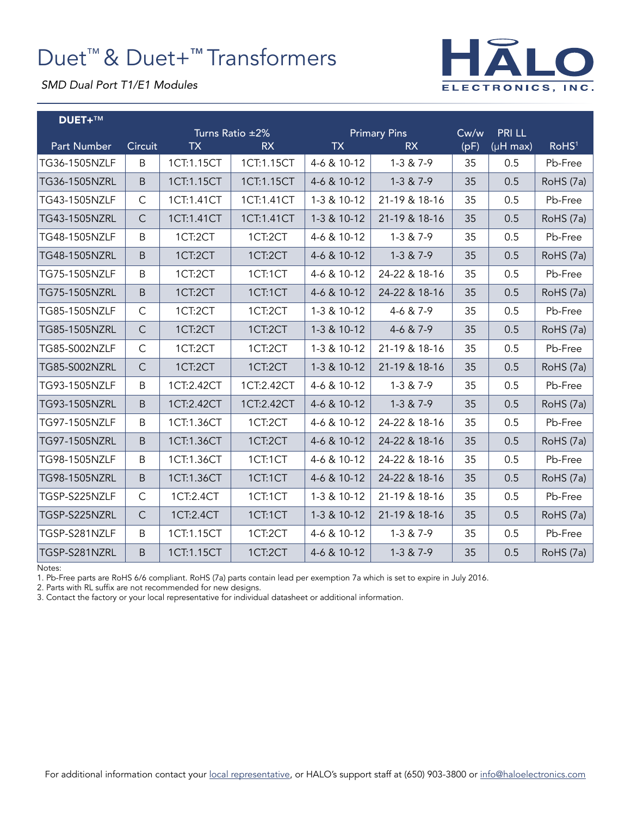# Duet™ & Duet+™ Transformers



*SMD Dual Port T1/E1 Modules*

| <b>DUET+™</b>      |              |                 |            |                     |               |      |                       |                   |
|--------------------|--------------|-----------------|------------|---------------------|---------------|------|-----------------------|-------------------|
|                    |              | Turns Ratio ±2% |            | <b>Primary Pins</b> |               | Cw/w | <b>PRI LL</b>         |                   |
| <b>Part Number</b> | Circuit      | <b>TX</b>       | <b>RX</b>  | <b>TX</b>           | <b>RX</b>     | (pF) | $(\mu H \text{ max})$ | RoHS <sup>1</sup> |
| TG36-1505NZLF      | B            | 1CT:1.15CT      | 1CT:1.15CT | 4-6 & 10-12         | $1-3 & 7-9$   | 35   | 0.5                   | Pb-Free           |
| TG36-1505NZRL      | $\sf B$      | 1CT:1.15CT      | 1CT:1.15CT | 4-6 & 10-12         | $1-3 & 7-9$   | 35   | 0.5                   | RoHS (7a)         |
| TG43-1505NZLF      | $\mathsf{C}$ | 1CT:1.41CT      | 1CT:1.41CT | 1-3 & 10-12         | 21-19 & 18-16 | 35   | 0.5                   | Pb-Free           |
| TG43-1505NZRL      | $\mathsf C$  | 1CT:1.41CT      | 1CT:1.41CT | 1-3 & 10-12         | 21-19 & 18-16 | 35   | 0.5                   | RoHS (7a)         |
| TG48-1505NZLF      | $\sf B$      | 1CT:2CT         | 1CT:2CT    | 4-6 & 10-12         | $1-3 & 7-9$   | 35   | 0.5                   | Pb-Free           |
| TG48-1505NZRL      | B            | 1CT:2CT         | 1CT:2CT    | 4-6 & 10-12         | $1-3 & 7-9$   | 35   | 0.5                   | RoHS (7a)         |
| TG75-1505NZLF      | B            | 1CT:2CT         | 1CT:1CT    | 4-6 & 10-12         | 24-22 & 18-16 | 35   | 0.5                   | Pb-Free           |
| TG75-1505NZRL      | $\sf B$      | 1CT:2CT         | 1CT:1CT    | 4-6 & 10-12         | 24-22 & 18-16 | 35   | 0.5                   | RoHS (7a)         |
| TG85-1505NZLF      | $\mathsf C$  | 1CT:2CT         | 1CT:2CT    | 1-3 & 10-12         | 4-6 & 7-9     | 35   | 0.5                   | Pb-Free           |
| TG85-1505NZRL      | $\mathsf{C}$ | 1CT:2CT         | 1CT:2CT    | 1-3 & 10-12         | 4-6 & 7-9     | 35   | 0.5                   | RoHS (7a)         |
| TG85-S002NZLF      | $\mathsf{C}$ | 1CT:2CT         | 1CT:2CT    | 1-3 & 10-12         | 21-19 & 18-16 | 35   | 0.5                   | Pb-Free           |
| TG85-S002NZRL      | $\mathsf{C}$ | 1CT:2CT         | 1CT:2CT    | 1-3 & 10-12         | 21-19 & 18-16 | 35   | 0.5                   | RoHS (7a)         |
| TG93-1505NZLF      | $\sf B$      | 1CT:2.42CT      | 1CT:2.42CT | 4-6 & 10-12         | $1-3 & 7-9$   | 35   | 0.5                   | Pb-Free           |
| TG93-1505NZRL      | B            | 1CT:2.42CT      | 1CT:2.42CT | 4-6 & 10-12         | $1-3 & 7-9$   | 35   | 0.5                   | RoHS (7a)         |
| TG97-1505NZLF      | $\sf B$      | 1CT:1.36CT      | 1CT:2CT    | 4-6 & 10-12         | 24-22 & 18-16 | 35   | 0.5                   | Pb-Free           |
| TG97-1505NZRL      | B            | 1CT:1.36CT      | 1CT:2CT    | 4-6 & 10-12         | 24-22 & 18-16 | 35   | 0.5                   | RoHS (7a)         |
| TG98-1505NZLF      | B            | 1CT:1.36CT      | 1CT:1CT    | 4-6 & 10-12         | 24-22 & 18-16 | 35   | 0.5                   | Pb-Free           |
| TG98-1505NZRL      | $\sf B$      | 1CT:1.36CT      | 1CT:1CT    | 4-6 & 10-12         | 24-22 & 18-16 | 35   | 0.5                   | RoHS (7a)         |
| TGSP-S225NZLF      | $\mathsf C$  | 1CT:2.4CT       | 1CT:1CT    | 1-3 & 10-12         | 21-19 & 18-16 | 35   | 0.5                   | Pb-Free           |
| TGSP-S225NZRL      | $\mathsf{C}$ | 1CT:2.4CT       | 1CT:1CT    | 1-3 & 10-12         | 21-19 & 18-16 | 35   | 0.5                   | RoHS (7a)         |
| TGSP-S281NZLF      | B            | 1CT:1.15CT      | 1CT:2CT    | 4-6 & 10-12         | $1-3 & 7-9$   | 35   | 0.5                   | Pb-Free           |
| TGSP-S281NZRL      | B            | 1CT:1.15CT      | 1CT:2CT    | 4-6 & 10-12         | $1-3 & 7-9$   | 35   | 0.5                   | RoHS (7a)         |

Notes:

1. Pb-Free parts are RoHS 6/6 compliant. RoHS (7a) parts contain lead per exemption 7a which is set to expire in July 2016.

2. Parts with RL suffix are not recommended for new designs.

3. Contact the factory or your local representative for individual datasheet or additional information.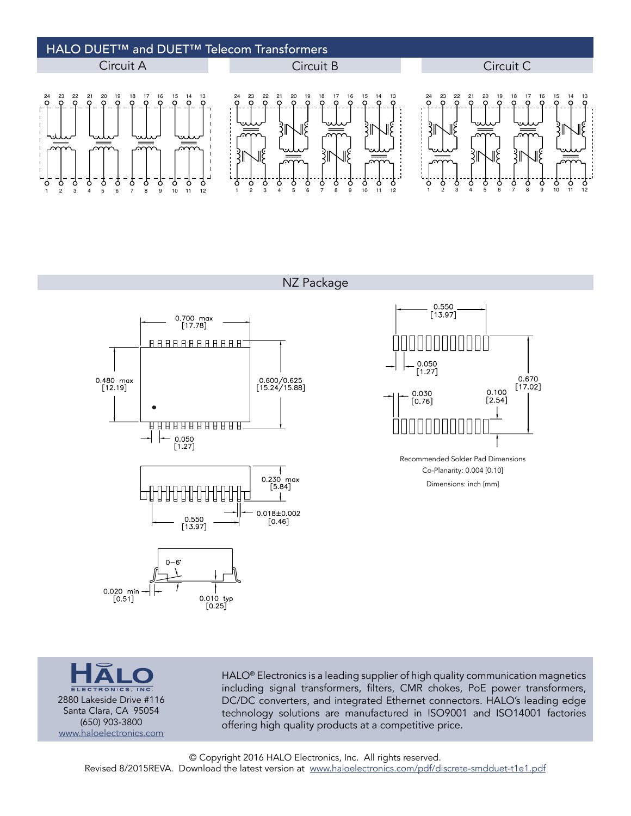### HALO DUET™ and DUET™ Telecom Transformers Circuit A Circuit B Circuit C 22 21 20 19 18 20 19 18 24 23 17 22 21 23 22 21 20 19 18 17 16 15 14 13 24 23 17 16 15 14 13 24 16 15 14 13 3 δ δ 9 7 Ó Ó Ó 7 Ó Ò  $\frac{1}{10}$ Ċ Ó Ċ 10 11 12 9 6 7 8 1 2 3 4 5 6 7 8 9 10 11 12 1 2 3 4 5 6 7 8 9 1 2 3 4 5

NZ Package





Dimensions: inch [mm] Co-Planarity: 0.004 [0.10] Recommended Solder Pad Dimensions



HALO® Electronics is a leading supplier of high quality communication magnetics including signal transformers, filters, CMR chokes, PoE power transformers, DC/DC converters, and integrated Ethernet connectors. HALO's leading edge technology solutions are manufactured in ISO9001 and ISO14001 factories offering high quality products at a competitive price.